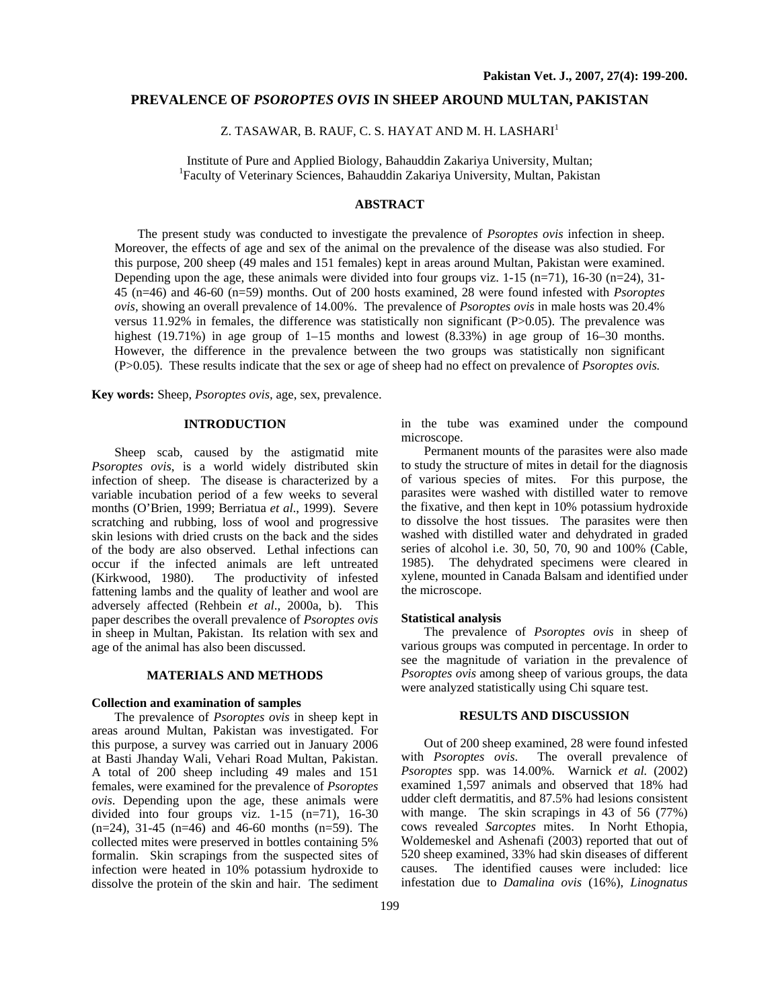# **PREVALENCE OF** *PSOROPTES OVIS* **IN SHEEP AROUND MULTAN, PAKISTAN**

Z. TASAWAR, B. RAUF, C. S. HAYAT AND M. H. LASHARI $^{\rm l}$ 

Institute of Pure and Applied Biology, Bahauddin Zakariya University, Multan; <sup>1</sup> Faculty of Veterinary Sciences, Bahauddin Zakariya University, Multan, Pakistan

#### **ABSTRACT**

The present study was conducted to investigate the prevalence of *Psoroptes ovis* infection in sheep. Moreover, the effects of age and sex of the animal on the prevalence of the disease was also studied. For this purpose, 200 sheep (49 males and 151 females) kept in areas around Multan, Pakistan were examined. Depending upon the age, these animals were divided into four groups viz.  $1-15$  (n=71),  $16-30$  (n=24),  $31-$ 45 (n=46) and 46-60 (n=59) months. Out of 200 hosts examined, 28 were found infested with *Psoroptes ovis,* showing an overall prevalence of 14.00%. The prevalence of *Psoroptes ovis* in male hosts was 20.4% versus 11.92% in females, the difference was statistically non significant (P>0.05). The prevalence was highest (19.71%) in age group of 1–15 months and lowest (8.33%) in age group of 16–30 months. However, the difference in the prevalence between the two groups was statistically non significant (P>0.05). These results indicate that the sex or age of sheep had no effect on prevalence of *Psoroptes ovis.* 

**Key words:** Sheep, *Psoroptes ovis,* age, sex, prevalence.

## **INTRODUCTION**

Sheep scab, caused by the astigmatid mite *Psoroptes ovis*, is a world widely distributed skin infection of sheep. The disease is characterized by a variable incubation period of a few weeks to several months (O'Brien, 1999; Berriatua *et al*., 1999). Severe scratching and rubbing, loss of wool and progressive skin lesions with dried crusts on the back and the sides of the body are also observed. Lethal infections can occur if the infected animals are left untreated (Kirkwood, 1980). The productivity of infested fattening lambs and the quality of leather and wool are adversely affected (Rehbein *et al*., 2000a, b). This paper describes the overall prevalence of *Psoroptes ovis* in sheep in Multan, Pakistan. Its relation with sex and age of the animal has also been discussed.

#### **MATERIALS AND METHODS**

#### **Collection and examination of samples**

The prevalence of *Psoroptes ovis* in sheep kept in areas around Multan, Pakistan was investigated. For this purpose, a survey was carried out in January 2006 at Basti Jhanday Wali, Vehari Road Multan, Pakistan. A total of 200 sheep including 49 males and 151 females, were examined for the prevalence of *Psoroptes ovis*. Depending upon the age, these animals were divided into four groups viz. 1-15 (n=71), 16-30  $(n=24)$ , 31-45  $(n=46)$  and 46-60 months  $(n=59)$ . The collected mites were preserved in bottles containing 5% formalin. Skin scrapings from the suspected sites of infection were heated in 10% potassium hydroxide to dissolve the protein of the skin and hair. The sediment

in the tube was examined under the compound microscope.

Permanent mounts of the parasites were also made to study the structure of mites in detail for the diagnosis of various species of mites. For this purpose, the parasites were washed with distilled water to remove the fixative, and then kept in 10% potassium hydroxide to dissolve the host tissues. The parasites were then washed with distilled water and dehydrated in graded series of alcohol i.e. 30, 50, 70, 90 and 100% (Cable, 1985). The dehydrated specimens were cleared in xylene, mounted in Canada Balsam and identified under the microscope.

#### **Statistical analysis**

The prevalence of *Psoroptes ovis* in sheep of various groups was computed in percentage. In order to see the magnitude of variation in the prevalence of *Psoroptes ovis* among sheep of various groups, the data were analyzed statistically using Chi square test.

## **RESULTS AND DISCUSSION**

Out of 200 sheep examined, 28 were found infested with *Psoroptes ovis*. The overall prevalence of *Psoroptes* spp. was 14.00%. Warnick *et al.* (2002) examined 1,597 animals and observed that 18% had udder cleft dermatitis, and 87.5% had lesions consistent with mange. The skin scrapings in 43 of 56 (77%) cows revealed *Sarcoptes* mites. In Norht Ethopia, Woldemeskel and Ashenafi (2003) reported that out of 520 sheep examined, 33% had skin diseases of different causes. The identified causes were included: lice infestation due to *Damalina ovis* (16%), *Linognatus*